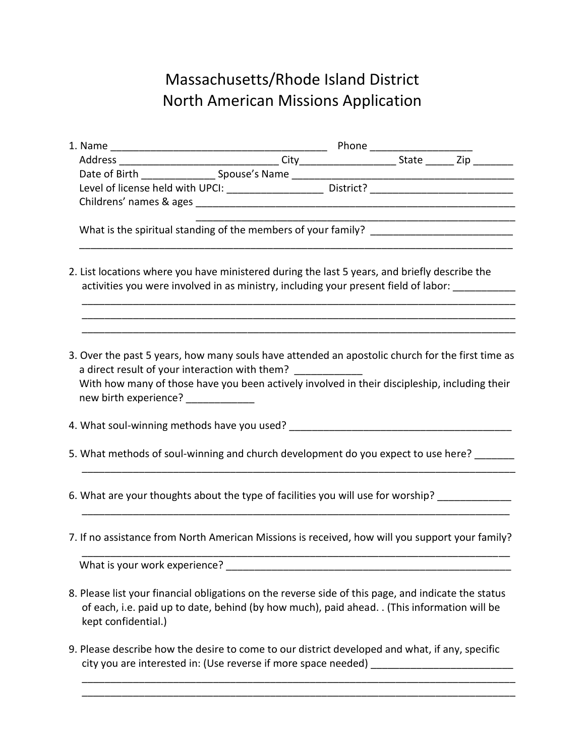## Massachusetts/Rhode Island District North American Missions Application

| Level of license held with UPCI: _______________________ District? _________________________________                                                                                                                                                                                                    |  |  |
|---------------------------------------------------------------------------------------------------------------------------------------------------------------------------------------------------------------------------------------------------------------------------------------------------------|--|--|
|                                                                                                                                                                                                                                                                                                         |  |  |
|                                                                                                                                                                                                                                                                                                         |  |  |
| 2. List locations where you have ministered during the last 5 years, and briefly describe the<br>activities you were involved in as ministry, including your present field of labor: __________                                                                                                         |  |  |
| 3. Over the past 5 years, how many souls have attended an apostolic church for the first time as<br>a direct result of your interaction with them? _____________<br>With how many of those have you been actively involved in their discipleship, including their<br>new birth experience? ____________ |  |  |
|                                                                                                                                                                                                                                                                                                         |  |  |
| 5. What methods of soul-winning and church development do you expect to use here?                                                                                                                                                                                                                       |  |  |
| 6. What are your thoughts about the type of facilities you will use for worship? ____________                                                                                                                                                                                                           |  |  |
| 7. If no assistance from North American Missions is received, how will you support your family?                                                                                                                                                                                                         |  |  |
| What is your work experience?                                                                                                                                                                                                                                                                           |  |  |
| 8. Please list your financial obligations on the reverse side of this page, and indicate the status<br>of each, i.e. paid up to date, behind (by how much), paid ahead. . (This information will be<br>kept confidential.)                                                                              |  |  |
| 9. Please describe how the desire to come to our district developed and what, if any, specific<br>city you are interested in: (Use reverse if more space needed)                                                                                                                                        |  |  |

\_\_\_\_\_\_\_\_\_\_\_\_\_\_\_\_\_\_\_\_\_\_\_\_\_\_\_\_\_\_\_\_\_\_\_\_\_\_\_\_\_\_\_\_\_\_\_\_\_\_\_\_\_\_\_\_\_\_\_\_\_\_\_\_\_\_\_\_\_\_\_\_\_\_\_\_